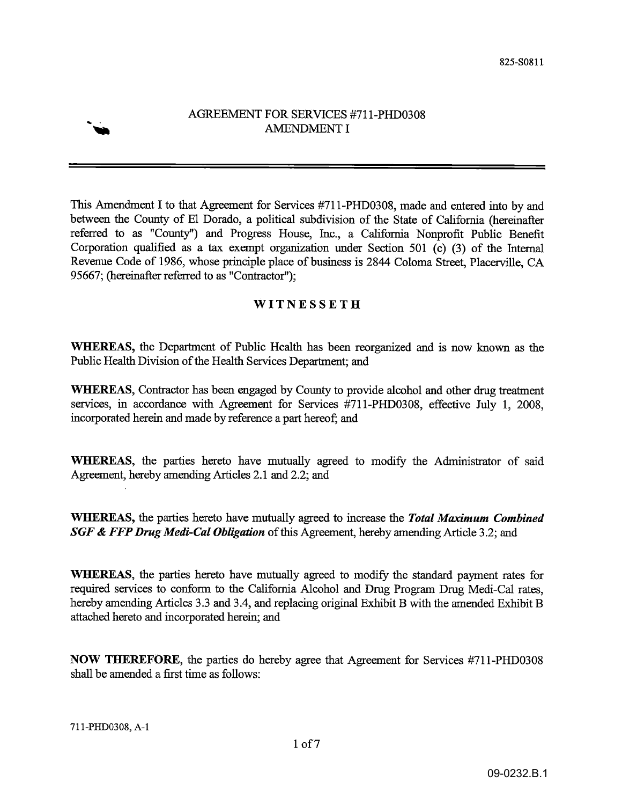

## AGREEMENT FOR SERVICES #711-PHD0308 **AMENDMENT I**

This Amendment I to that Agreement for Services #711-PHD0308, made and entered into by and between the County of El Dorado, a political subdivision of the State of California (hereinafter referred to as "County") and Progress House, Inc., a California Nonprofit Public Benefit Corporation qualified as a tax exempt organization under Section 501 (c) (3) of the Internal Revenue Code of 1986, whose principle place of business is 2844 Coloma Street, Placerville, CA 95667; (hereinafter referred to as "Contractor");

# WITNESSETH

WHEREAS, the Department of Public Health has been reorganized and is now known as the Public Health Division of the Health Services Department; and

**WHEREAS**, Contractor has been engaged by County to provide alcohol and other drug treatment services, in accordance with Agreement for Services #711-PHD0308, effective July 1, 2008, incorporated herein and made by reference a part hereof; and

**WHEREAS**, the parties hereto have mutually agreed to modify the Administrator of said Agreement, hereby amending Articles 2.1 and 2.2; and

**WHEREAS**, the parties hereto have mutually agreed to increase the Total Maximum Combined **SGF & FFP Drug Medi-Cal Obligation** of this Agreement, hereby amending Article 3.2; and

**WHEREAS**, the parties hereto have mutually agreed to modify the standard payment rates for required services to conform to the California Alcohol and Drug Program Drug Medi-Cal rates, hereby amending Articles 3.3 and 3.4, and replacing original Exhibit B with the amended Exhibit B attached hereto and incorporated herein; and

NOW THEREFORE, the parties do hereby agree that Agreement for Services #711-PHD0308 shall be amended a first time as follows: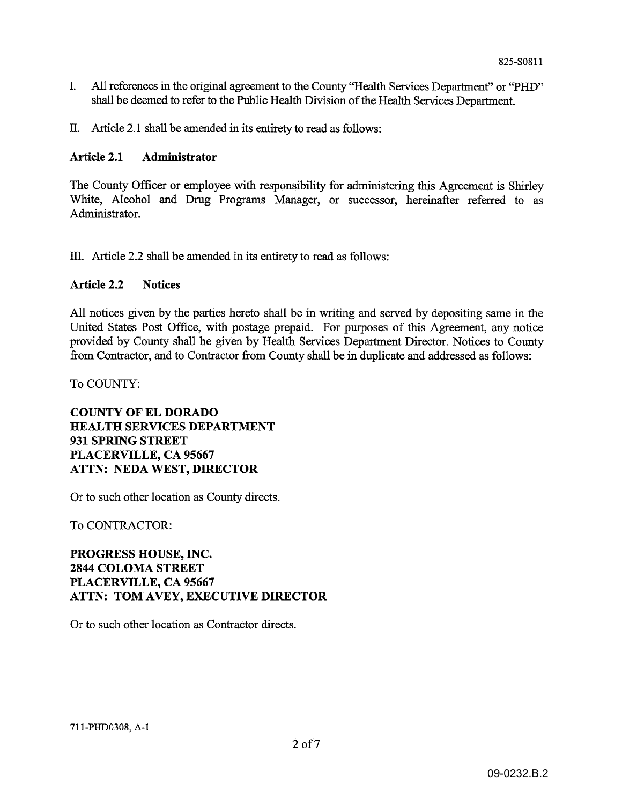- $\mathbf{I}$ . All references in the original agreement to the County "Health Services Department" or "PHD" shall be deemed to refer to the Public Health Division of the Health Services Department.
- II. Article 2.1 shall be amended in its entirety to read as follows:

#### **Article 2.1** Administrator

The County Officer or employee with responsibility for administering this Agreement is Shirley White, Alcohol and Drug Programs Manager, or successor, hereinafter referred to as Administrator.

III. Article 2.2 shall be amended in its entirety to read as follows:

#### **Article 2.2 Notices**

All notices given by the parties hereto shall be in writing and served by depositing same in the United States Post Office, with postage prepaid. For purposes of this Agreement, any notice provided by County shall be given by Health Services Department Director. Notices to County from Contractor, and to Contractor from County shall be in duplicate and addressed as follows:

To COUNTY:

## **COUNTY OF EL DORADO HEALTH SERVICES DEPARTMENT** 931 SPRING STREET PLACERVILLE, CA 95667 ATTN: NEDA WEST, DIRECTOR

Or to such other location as County directs.

To CONTRACTOR:

PROGRESS HOUSE, INC. **2844 COLOMA STREET** PLACERVILLE, CA 95667 **ATTN: TOM AVEY, EXECUTIVE DIRECTOR** 

Or to such other location as Contractor directs.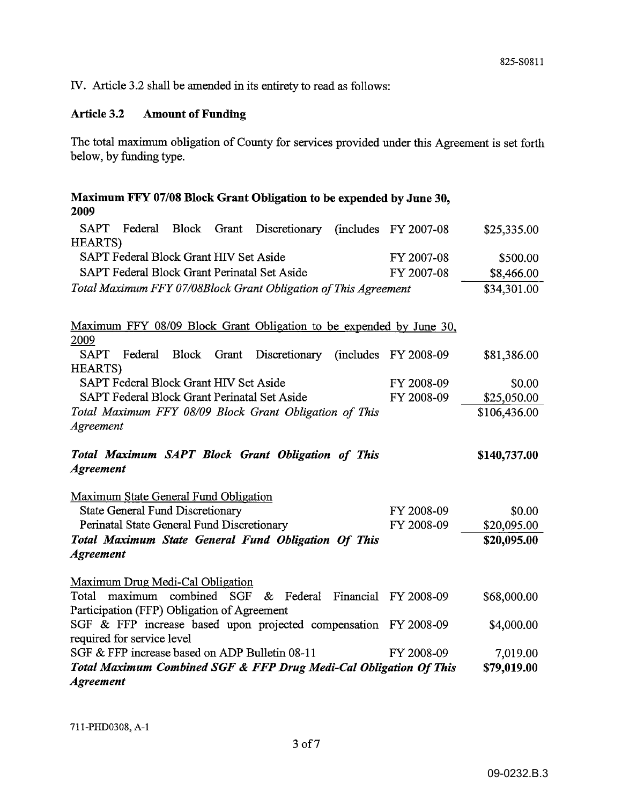IV. Article 3.2 shall be amended in its entirety to read as follows:

#### **Amount of Funding Article 3.2**

The total maximum obligation of County for services provided under this Agreement is set forth below, by funding type.

| Maximum FFY 07/08 Block Grant Obligation to be expended by June 30,<br>2009                   |                        |              |  |
|-----------------------------------------------------------------------------------------------|------------------------|--------------|--|
| <b>SAPT</b><br>Federal<br><b>Block</b><br>Grant<br>Discretionary<br><b>HEARTS</b> )           | $(includes$ FY 2007-08 | \$25,335.00  |  |
| SAPT Federal Block Grant HIV Set Aside<br>FY 2007-08                                          |                        | \$500.00     |  |
| SAPT Federal Block Grant Perinatal Set Aside                                                  | FY 2007-08             | \$8,466.00   |  |
| Total Maximum FFY 07/08Block Grant Obligation of This Agreement                               |                        | \$34,301.00  |  |
|                                                                                               |                        |              |  |
| Maximum FFY 08/09 Block Grant Obligation to be expended by June 30,                           |                        |              |  |
| 2009<br><b>SAPT</b><br>Federal<br><b>Block</b><br>Grant<br>Discretionary<br><b>HEARTS</b> )   | $(includes$ FY 2008-09 | \$81,386.00  |  |
| SAPT Federal Block Grant HIV Set Aside                                                        | FY 2008-09             | \$0.00       |  |
| SAPT Federal Block Grant Perinatal Set Aside<br>FY 2008-09                                    |                        | \$25,050.00  |  |
| Total Maximum FFY 08/09 Block Grant Obligation of This                                        |                        | \$106,436.00 |  |
| Agreement                                                                                     |                        |              |  |
|                                                                                               |                        |              |  |
| Total Maximum SAPT Block Grant Obligation of This<br><b>Agreement</b>                         |                        | \$140,737.00 |  |
| Maximum State General Fund Obligation                                                         |                        |              |  |
| <b>State General Fund Discretionary</b>                                                       | FY 2008-09             | \$0.00       |  |
| Perinatal State General Fund Discretionary                                                    | FY 2008-09             | \$20,095.00  |  |
| Total Maximum State General Fund Obligation Of This                                           |                        | \$20,095.00  |  |
| <b>Agreement</b>                                                                              |                        |              |  |
| Maximum Drug Medi-Cal Obligation                                                              |                        |              |  |
| combined SGF<br>maximum<br>& Federal Financial FY 2008-09<br>Total                            |                        | \$68,000.00  |  |
| Participation (FFP) Obligation of Agreement                                                   |                        |              |  |
| SGF & FFP increase based upon projected compensation FY 2008-09<br>required for service level |                        | \$4,000.00   |  |
| SGF & FFP increase based on ADP Bulletin 08-11                                                | FY 2008-09             | 7,019.00     |  |
| Total Maximum Combined SGF & FFP Drug Medi-Cal Obligation Of This                             |                        | \$79,019.00  |  |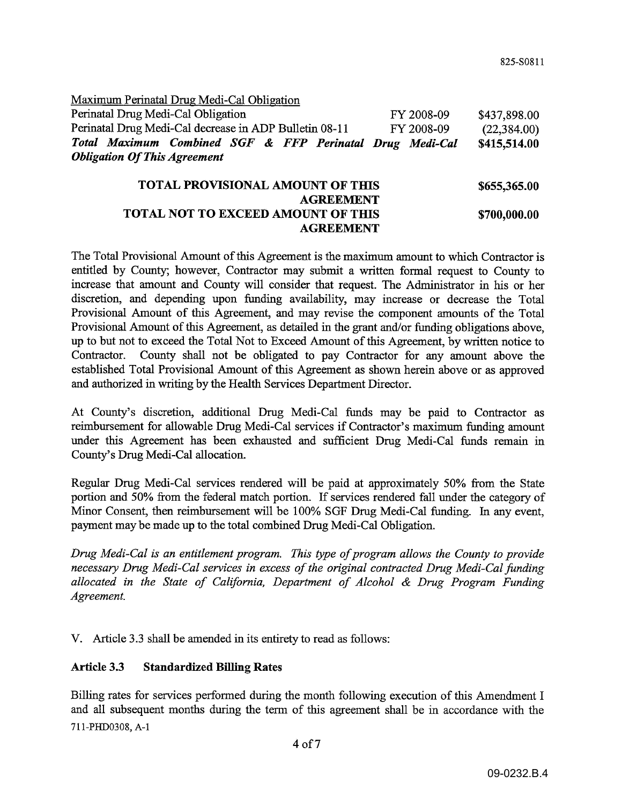Maximum Perinatal Drug Medi-Cal Obligation Perinatal Drug Medi-Cal Obligation FY 2008-09 \$437,898.00 Perinatal Drug Medi-Cal decrease in ADP Bulletin 08-11 FY 2008-09  $(22, 384.00)$ Total Maximum Combined SGF & FFP Perinatal Drug Medi-Cal \$415,514.00 **Obligation Of This Agreement** 

### TOTAL PROVISIONAL AMOUNT OF THIS \$655,365.00 **AGREEMENT** TOTAL NOT TO EXCEED AMOUNT OF THIS \$700,000.00 **AGREEMENT**

The Total Provisional Amount of this Agreement is the maximum amount to which Contractor is entitled by County; however, Contractor may submit a written formal request to County to increase that amount and County will consider that request. The Administrator in his or her discretion, and depending upon funding availability, may increase or decrease the Total Provisional Amount of this Agreement, and may revise the component amounts of the Total Provisional Amount of this Agreement, as detailed in the grant and/or funding obligations above, up to but not to exceed the Total Not to Exceed Amount of this Agreement, by written notice to Contractor. County shall not be obligated to pay Contractor for any amount above the established Total Provisional Amount of this Agreement as shown herein above or as approved and authorized in writing by the Health Services Department Director.

At County's discretion, additional Drug Medi-Cal funds may be paid to Contractor as reimbursement for allowable Drug Medi-Cal services if Contractor's maximum funding amount under this Agreement has been exhausted and sufficient Drug Medi-Cal funds remain in County's Drug Medi-Cal allocation.

Regular Drug Medi-Cal services rendered will be paid at approximately 50% from the State portion and 50% from the federal match portion. If services rendered fall under the category of Minor Consent, then reimbursement will be 100% SGF Drug Medi-Cal funding. In any event, payment may be made up to the total combined Drug Medi-Cal Obligation.

Drug Medi-Cal is an entitlement program. This type of program allows the County to provide necessary Drug Medi-Cal services in excess of the original contracted Drug Medi-Cal funding allocated in the State of California, Department of Alcohol & Drug Program Funding Agreement.

V. Article 3.3 shall be amended in its entirety to read as follows:

#### **Article 3.3 Standardized Billing Rates**

Billing rates for services performed during the month following execution of this Amendment I and all subsequent months during the term of this agreement shall be in accordance with the 711-PHD0308, A-1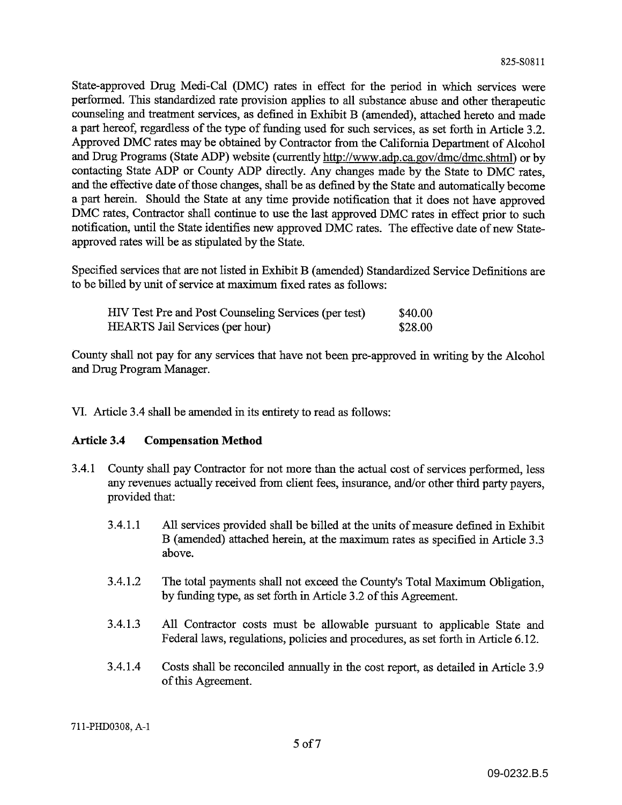State-approved Drug Medi-Cal (DMC) rates in effect for the period in which services were performed. This standardized rate provision applies to all substance abuse and other therapeutic counseling and treatment services, as defined in Exhibit B (amended), attached hereto and made a part hereof, regardless of the type of funding used for such services, as set forth in Article 3.2. Approved DMC rates may be obtained by Contractor from the California Department of Alcohol and Drug Programs (State ADP) website (currently http://www.adp.ca.gov/dmc/dmc.shtml) or by contacting State ADP or County ADP directly. Any changes made by the State to DMC rates, and the effective date of those changes, shall be as defined by the State and automatically become a part herein. Should the State at any time provide notification that it does not have approved DMC rates, Contractor shall continue to use the last approved DMC rates in effect prior to such notification, until the State identifies new approved DMC rates. The effective date of new Stateapproved rates will be as stipulated by the State.

Specified services that are not listed in Exhibit B (amended) Standardized Service Definitions are to be billed by unit of service at maximum fixed rates as follows:

| HIV Test Pre and Post Counseling Services (per test) | \$40.00 |
|------------------------------------------------------|---------|
| <b>HEARTS</b> Jail Services (per hour)               | \$28.00 |

County shall not pay for any services that have not been pre-approved in writing by the Alcohol and Drug Program Manager.

VI. Article 3.4 shall be amended in its entirety to read as follows:

#### Article 3.4 **Compensation Method**

- $3.4.1$ County shall pay Contractor for not more than the actual cost of services performed, less any revenues actually received from client fees, insurance, and/or other third party payers. provided that:
	- $3.4.1.1$ All services provided shall be billed at the units of measure defined in Exhibit B (amended) attached herein, at the maximum rates as specified in Article 3.3 above.
	- 3.4.1.2 The total payments shall not exceed the County's Total Maximum Obligation, by funding type, as set forth in Article 3.2 of this Agreement.
	- $3.4.1.3$ All Contractor costs must be allowable pursuant to applicable State and Federal laws, regulations, policies and procedures, as set forth in Article 6.12.
	- 3.4.1.4 Costs shall be reconciled annually in the cost report, as detailed in Article 3.9 of this Agreement.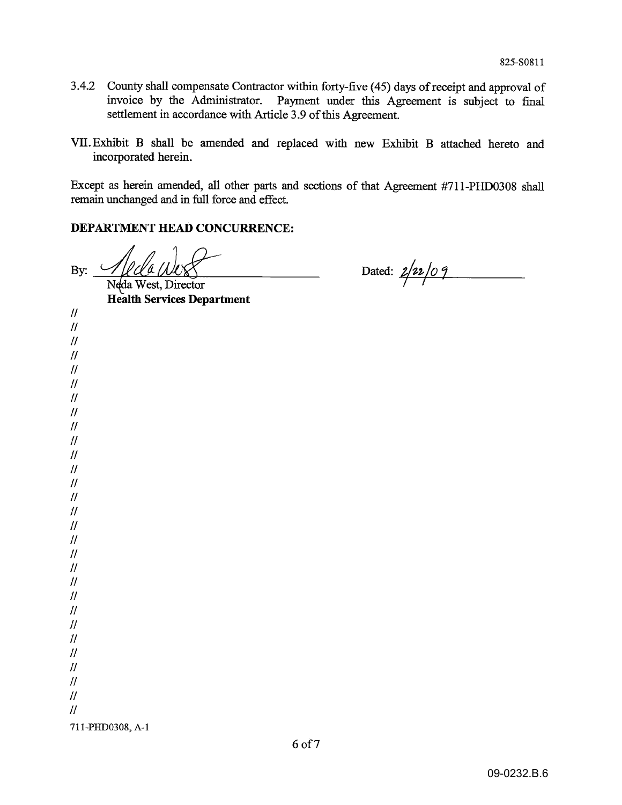- 3.4.2 County shall compensate Contractor within forty-five (45) days of receipt and approval of invoice by the Administrator. Payment under this Agreement is subject to final settlement in accordance with Article 3.9 of this Agreement.
- VII. Exhibit B shall be amended and replaced with new Exhibit B attached hereto and incorporated herein.

Except as herein amended, all other parts and sections of that Agreement #711-PHD0308 shall remain unchanged and in full force and effect.

### DEPARTMENT HEAD CONCURRENCE:

Al da Wuss  $\mathbf{B}$ y:

Dated:  $2/22/09$ 

**Health Services Department**  $\mathcal{U}$  $\mathcal{U}$  $\mathcal{U}$  $\mathcal{U}$  $\mathcal{U}$  $^{\prime\prime}$  $\mathcal{U}$  $\mathcal{U}$  $\mathcal{H}$  $\pi$  $\mu$  $\mathcal{U}$  $\mathcal{U}$  $\mathcal{U}$  $\mathcal{U}$  $\mathcal{U}$  $\prime\prime$  $\mathcal{U}$  $\mathcal{U}$  $^{\prime\prime}$  $^{\prime\prime}$  $\mathcal{U}$  $\mathcal{U}$  $\mathcal{H}$  $\mathcal{U}$  $\mathcal{U}$  $\overline{H}$  $\overline{H}$  $\mathcal{U}$ 711-PHD0308, A-1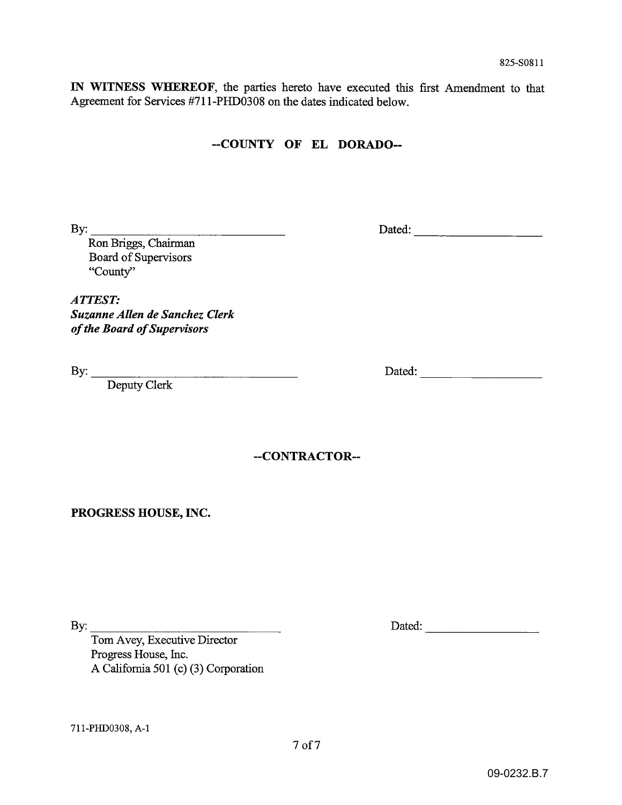IN WITNESS WHEREOF, the parties hereto have executed this first Amendment to that Agreement for Services #711-PHD0308 on the dates indicated below.

# --COUNTY OF EL DORADO--

Dated:

Ron Briggs, Chairman Board of Supervisors "County"

ATTEST: Suzanne Allen de Sanchez Clerk of the Board of Supervisors

 $\begin{tabular}{c} By: \end{tabular} \begin{tabular}{p{5cm}} \textbf{Deputy Clerk} \end{tabular}$ 

Dated:

--CONTRACTOR--

PROGRESS HOUSE, INC.

By: Tom Avey, Executive Director Progress House, Inc. A California 501 (c) (3) Corporation

711-PHD0308, A-1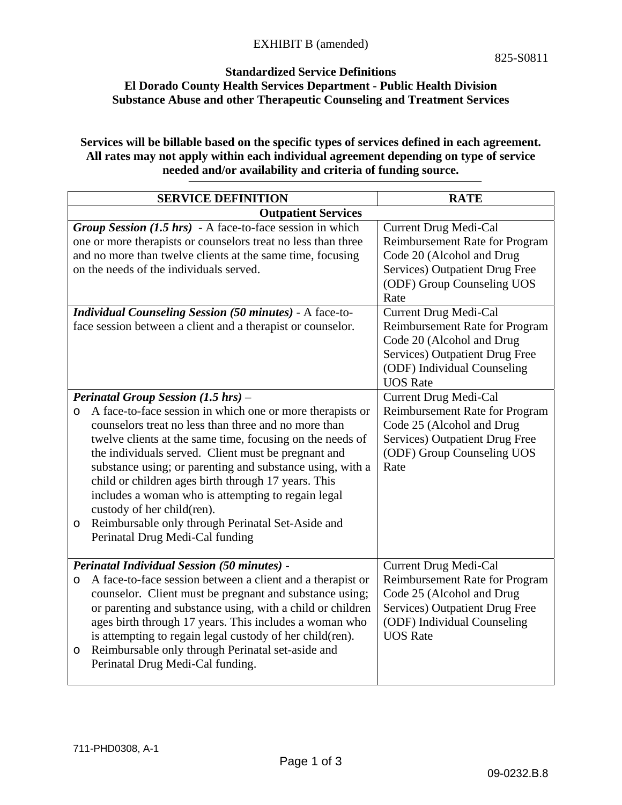### **Standardized Service Definitions El Dorado County Health Services Department - Public Health Division Substance Abuse and other Therapeutic Counseling and Treatment Services**

### **Services will be billable based on the specific types of services defined in each agreement. All rates may not apply within each individual agreement depending on type of service needed and/or availability and criteria of funding source.**

| <b>SERVICE DEFINITION</b>                                                                                                                                                                                                                                                                                                                                                                                                                                                                                                                                                                          | <b>RATE</b>                                                                                                                                                                            |  |  |
|----------------------------------------------------------------------------------------------------------------------------------------------------------------------------------------------------------------------------------------------------------------------------------------------------------------------------------------------------------------------------------------------------------------------------------------------------------------------------------------------------------------------------------------------------------------------------------------------------|----------------------------------------------------------------------------------------------------------------------------------------------------------------------------------------|--|--|
| <b>Outpatient Services</b>                                                                                                                                                                                                                                                                                                                                                                                                                                                                                                                                                                         |                                                                                                                                                                                        |  |  |
| Group Session (1.5 hrs) - A face-to-face session in which<br>one or more therapists or counselors treat no less than three<br>and no more than twelve clients at the same time, focusing<br>on the needs of the individuals served.                                                                                                                                                                                                                                                                                                                                                                | Current Drug Medi-Cal<br>Reimbursement Rate for Program<br>Code 20 (Alcohol and Drug<br>Services) Outpatient Drug Free<br>(ODF) Group Counseling UOS<br>Rate                           |  |  |
| <b>Individual Counseling Session (50 minutes) - A face-to-</b><br>face session between a client and a therapist or counselor.                                                                                                                                                                                                                                                                                                                                                                                                                                                                      | <b>Current Drug Medi-Cal</b><br>Reimbursement Rate for Program<br>Code 20 (Alcohol and Drug<br>Services) Outpatient Drug Free<br>(ODF) Individual Counseling<br><b>UOS</b> Rate        |  |  |
| Perinatal Group Session (1.5 hrs) -<br>A face-to-face session in which one or more therapists or<br>$\circ$<br>counselors treat no less than three and no more than<br>twelve clients at the same time, focusing on the needs of<br>the individuals served. Client must be pregnant and<br>substance using; or parenting and substance using, with a<br>child or children ages birth through 17 years. This<br>includes a woman who is attempting to regain legal<br>custody of her child(ren).<br>Reimbursable only through Perinatal Set-Aside and<br>$\circ$<br>Perinatal Drug Medi-Cal funding | <b>Current Drug Medi-Cal</b><br><b>Reimbursement Rate for Program</b><br>Code 25 (Alcohol and Drug<br>Services) Outpatient Drug Free<br>(ODF) Group Counseling UOS<br>Rate             |  |  |
| <b>Perinatal Individual Session (50 minutes) -</b><br>A face-to-face session between a client and a therapist or<br>O<br>counselor. Client must be pregnant and substance using;<br>or parenting and substance using, with a child or children<br>ages birth through 17 years. This includes a woman who<br>is attempting to regain legal custody of her child(ren).<br>Reimbursable only through Perinatal set-aside and<br>$\circ$<br>Perinatal Drug Medi-Cal funding.                                                                                                                           | Current Drug Medi-Cal<br><b>Reimbursement Rate for Program</b><br>Code 25 (Alcohol and Drug<br><b>Services) Outpatient Drug Free</b><br>(ODF) Individual Counseling<br><b>UOS</b> Rate |  |  |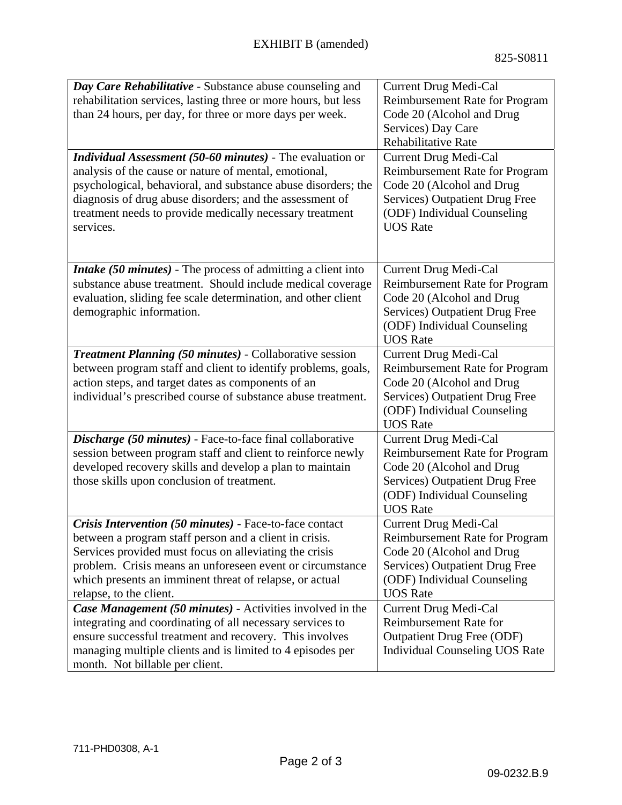| Day Care Rehabilitative - Substance abuse counseling and<br>rehabilitation services, lasting three or more hours, but less<br>than 24 hours, per day, for three or more days per week.<br><b>Individual Assessment (50-60 minutes)</b> - The evaluation or<br>analysis of the cause or nature of mental, emotional,<br>psychological, behavioral, and substance abuse disorders; the<br>diagnosis of drug abuse disorders; and the assessment of | <b>Current Drug Medi-Cal</b><br>Reimbursement Rate for Program<br>Code 20 (Alcohol and Drug<br>Services) Day Care<br>Rehabilitative Rate<br>Current Drug Medi-Cal<br>Reimbursement Rate for Program<br>Code 20 (Alcohol and Drug<br>Services) Outpatient Drug Free |
|--------------------------------------------------------------------------------------------------------------------------------------------------------------------------------------------------------------------------------------------------------------------------------------------------------------------------------------------------------------------------------------------------------------------------------------------------|--------------------------------------------------------------------------------------------------------------------------------------------------------------------------------------------------------------------------------------------------------------------|
| treatment needs to provide medically necessary treatment<br>services.                                                                                                                                                                                                                                                                                                                                                                            | (ODF) Individual Counseling<br><b>UOS</b> Rate                                                                                                                                                                                                                     |
| <i>Intake</i> (50 <i>minutes</i> ) - The process of admitting a client into<br>substance abuse treatment. Should include medical coverage<br>evaluation, sliding fee scale determination, and other client<br>demographic information.                                                                                                                                                                                                           | Current Drug Medi-Cal<br>Reimbursement Rate for Program<br>Code 20 (Alcohol and Drug<br>Services) Outpatient Drug Free<br>(ODF) Individual Counseling<br><b>UOS Rate</b>                                                                                           |
| <b>Treatment Planning (50 minutes)</b> - Collaborative session<br>between program staff and client to identify problems, goals,<br>action steps, and target dates as components of an<br>individual's prescribed course of substance abuse treatment.                                                                                                                                                                                            | Current Drug Medi-Cal<br>Reimbursement Rate for Program<br>Code 20 (Alcohol and Drug<br>Services) Outpatient Drug Free<br>(ODF) Individual Counseling<br><b>UOS Rate</b>                                                                                           |
| Discharge (50 minutes) - Face-to-face final collaborative<br>session between program staff and client to reinforce newly<br>developed recovery skills and develop a plan to maintain<br>those skills upon conclusion of treatment.                                                                                                                                                                                                               | Current Drug Medi-Cal<br>Reimbursement Rate for Program<br>Code 20 (Alcohol and Drug<br>Services) Outpatient Drug Free<br>(ODF) Individual Counseling<br><b>UOS</b> Rate                                                                                           |
| Crisis Intervention (50 minutes) - Face-to-face contact<br>between a program staff person and a client in crisis.<br>Services provided must focus on alleviating the crisis<br>problem. Crisis means an unforeseen event or circumstance<br>which presents an imminent threat of relapse, or actual<br>relapse, to the client.                                                                                                                   | Current Drug Medi-Cal<br>Reimbursement Rate for Program<br>Code 20 (Alcohol and Drug<br>Services) Outpatient Drug Free<br>(ODF) Individual Counseling<br><b>UOS</b> Rate                                                                                           |
| Case Management (50 minutes) - Activities involved in the<br>integrating and coordinating of all necessary services to<br>ensure successful treatment and recovery. This involves<br>managing multiple clients and is limited to 4 episodes per<br>month. Not billable per client.                                                                                                                                                               | <b>Current Drug Medi-Cal</b><br>Reimbursement Rate for<br><b>Outpatient Drug Free (ODF)</b><br><b>Individual Counseling UOS Rate</b>                                                                                                                               |